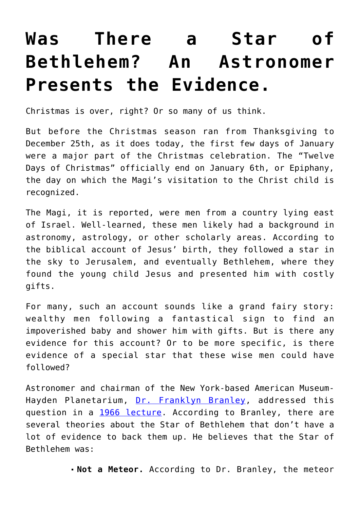## **[Was There a Star of](https://intellectualtakeout.org/2019/01/was-there-a-star-of-bethlehem-an-astronomer-presents-the-evidence/) [Bethlehem? An Astronomer](https://intellectualtakeout.org/2019/01/was-there-a-star-of-bethlehem-an-astronomer-presents-the-evidence/) [Presents the Evidence.](https://intellectualtakeout.org/2019/01/was-there-a-star-of-bethlehem-an-astronomer-presents-the-evidence/)**

Christmas is over, right? Or so many of us think.

But before the Christmas season ran from Thanksgiving to December 25th, as it does today, the first few days of January were a major part of the Christmas celebration. The "Twelve Days of Christmas" officially end on January 6th, or Epiphany, the day on which the Magi's visitation to the Christ child is recognized.

The Magi, it is reported, were men from a country lying east of Israel. Well-learned, these men likely had a background in astronomy, astrology, or other scholarly areas. According to the biblical account of Jesus' birth, they followed a star in the sky to Jerusalem, and eventually Bethlehem, where they found the young child Jesus and presented him with costly gifts.

For many, such an account sounds like a grand fairy story: wealthy men following a fantastical sign to find an impoverished baby and shower him with gifts. But is there any evidence for this account? Or to be more specific, is there evidence of a special star that these wise men could have followed?

Astronomer and chairman of the New York-based American Museum-Hayden Planetarium, [Dr. Franklyn Branley,](http://adsabs.harvard.edu/abs/2003BAAS...35.1455F) addressed this question in a [1966 lecture.](https://www.amazon.com/gp/product/0816362688/ref=as_li_qf_asin_il_tl?ie=UTF8&tag=intelltakeo0d-20&creative=9325&linkCode=as2&creativeASIN=0816362688&linkId=53468088278cbe5c6fc9707368889cc4) According to Branley, there are several theories about the Star of Bethlehem that don't have a lot of evidence to back them up. He believes that the Star of Bethlehem was:

**Not a Meteor.** According to Dr. Branley, the meteor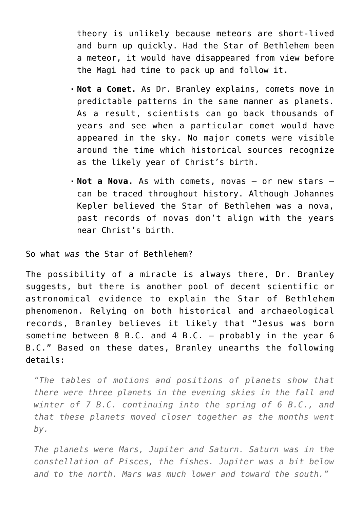theory is unlikely because meteors are short-lived and burn up quickly. Had the Star of Bethlehem been a meteor, it would have disappeared from view before the Magi had time to pack up and follow it.

- **Not a Comet.** As Dr. Branley explains, comets move in predictable patterns in the same manner as planets. As a result, scientists can go back thousands of years and see when a particular comet would have appeared in the sky. No major comets were visible around the time which historical sources recognize as the likely year of Christ's birth.
- **Not a Nova.** As with comets, novas or new stars can be traced throughout history. Although Johannes Kepler believed the Star of Bethlehem was a nova, past records of novas don't align with the years near Christ's birth.

So what *was* the Star of Bethlehem?

The possibility of a miracle is always there, Dr. Branley suggests, but there is another pool of decent scientific or astronomical evidence to explain the Star of Bethlehem phenomenon. Relying on both historical and archaeological records, Branley believes it likely that "Jesus was born sometime between 8 B.C. and 4 B.C.  $-$  probably in the year 6 B.C." Based on these dates, Branley unearths the following details:

*"The tables of motions and positions of planets show that there were three planets in the evening skies in the fall and winter of 7 B.C. continuing into the spring of 6 B.C., and that these planets moved closer together as the months went by.*

*The planets were Mars, Jupiter and Saturn. Saturn was in the constellation of Pisces, the fishes. Jupiter was a bit below and to the north. Mars was much lower and toward the south."*